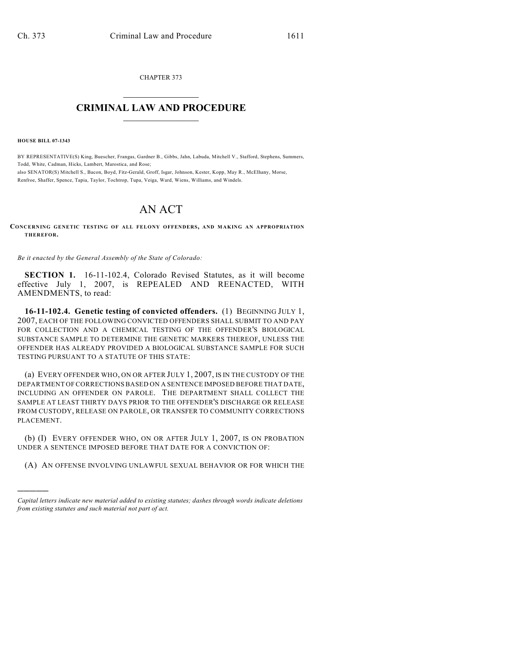CHAPTER 373  $\mathcal{L}_\text{max}$  . The set of the set of the set of the set of the set of the set of the set of the set of the set of the set of the set of the set of the set of the set of the set of the set of the set of the set of the set

## **CRIMINAL LAW AND PROCEDURE**  $\frac{1}{2}$  ,  $\frac{1}{2}$  ,  $\frac{1}{2}$  ,  $\frac{1}{2}$  ,  $\frac{1}{2}$  ,  $\frac{1}{2}$  ,  $\frac{1}{2}$

**HOUSE BILL 07-1343**

)))))

BY REPRESENTATIVE(S) King, Buescher, Frangas, Gardner B., Gibbs, Jahn, Labuda, Mitchell V., Stafford, Stephens, Summers, Todd, White, Cadman, Hicks, Lambert, Marostica, and Rose; also SENATOR(S) Mitchell S., Bacon, Boyd, Fitz-Gerald, Groff, Isgar, Johnson, Kester, Kopp, May R., McElhany, Morse, Renfroe, Shaffer, Spence, Tapia, Taylor, Tochtrop, Tupa, Veiga, Ward, Wiens, Williams, and Windels.

## AN ACT

**CONCERNING GENETIC TESTING OF ALL FELONY OFFENDERS, AND MAKING AN APPROPRIATION THEREFOR.**

*Be it enacted by the General Assembly of the State of Colorado:*

**SECTION 1.** 16-11-102.4, Colorado Revised Statutes, as it will become effective July 1, 2007, is REPEALED AND REENACTED, WITH AMENDMENTS, to read:

**16-11-102.4. Genetic testing of convicted offenders.** (1) BEGINNING JULY 1, 2007, EACH OF THE FOLLOWING CONVICTED OFFENDERS SHALL SUBMIT TO AND PAY FOR COLLECTION AND A CHEMICAL TESTING OF THE OFFENDER'S BIOLOGICAL SUBSTANCE SAMPLE TO DETERMINE THE GENETIC MARKERS THEREOF, UNLESS THE OFFENDER HAS ALREADY PROVIDED A BIOLOGICAL SUBSTANCE SAMPLE FOR SUCH TESTING PURSUANT TO A STATUTE OF THIS STATE:

(a) EVERY OFFENDER WHO, ON OR AFTER JULY 1, 2007, IS IN THE CUSTODY OF THE DEPARTMENT OF CORRECTIONS BASED ON A SENTENCE IMPOSED BEFORE THAT DATE, INCLUDING AN OFFENDER ON PAROLE. THE DEPARTMENT SHALL COLLECT THE SAMPLE AT LEAST THIRTY DAYS PRIOR TO THE OFFENDER'S DISCHARGE OR RELEASE FROM CUSTODY, RELEASE ON PAROLE, OR TRANSFER TO COMMUNITY CORRECTIONS PLACEMENT.

(b) (I) EVERY OFFENDER WHO, ON OR AFTER JULY 1, 2007, IS ON PROBATION UNDER A SENTENCE IMPOSED BEFORE THAT DATE FOR A CONVICTION OF:

(A) AN OFFENSE INVOLVING UNLAWFUL SEXUAL BEHAVIOR OR FOR WHICH THE

*Capital letters indicate new material added to existing statutes; dashes through words indicate deletions from existing statutes and such material not part of act.*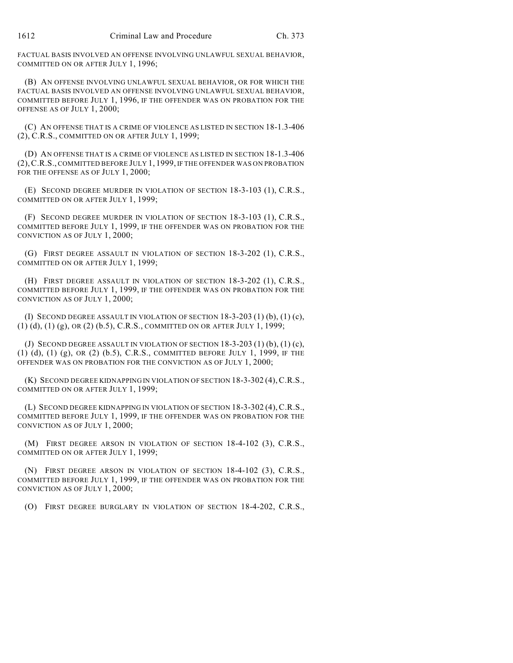FACTUAL BASIS INVOLVED AN OFFENSE INVOLVING UNLAWFUL SEXUAL BEHAVIOR, COMMITTED ON OR AFTER JULY 1, 1996;

(B) AN OFFENSE INVOLVING UNLAWFUL SEXUAL BEHAVIOR, OR FOR WHICH THE FACTUAL BASIS INVOLVED AN OFFENSE INVOLVING UNLAWFUL SEXUAL BEHAVIOR, COMMITTED BEFORE JULY 1, 1996, IF THE OFFENDER WAS ON PROBATION FOR THE OFFENSE AS OF JULY 1, 2000;

(C) AN OFFENSE THAT IS A CRIME OF VIOLENCE AS LISTED IN SECTION 18-1.3-406 (2), C.R.S., COMMITTED ON OR AFTER JULY 1, 1999;

(D) AN OFFENSE THAT IS A CRIME OF VIOLENCE AS LISTED IN SECTION 18-1.3-406 (2),C.R.S., COMMITTED BEFORE JULY 1, 1999, IF THE OFFENDER WAS ON PROBATION FOR THE OFFENSE AS OF JULY 1, 2000;

(E) SECOND DEGREE MURDER IN VIOLATION OF SECTION 18-3-103 (1), C.R.S., COMMITTED ON OR AFTER JULY 1, 1999;

(F) SECOND DEGREE MURDER IN VIOLATION OF SECTION 18-3-103 (1), C.R.S., COMMITTED BEFORE JULY 1, 1999, IF THE OFFENDER WAS ON PROBATION FOR THE CONVICTION AS OF JULY 1, 2000;

(G) FIRST DEGREE ASSAULT IN VIOLATION OF SECTION 18-3-202 (1), C.R.S., COMMITTED ON OR AFTER JULY 1, 1999;

(H) FIRST DEGREE ASSAULT IN VIOLATION OF SECTION 18-3-202 (1), C.R.S., COMMITTED BEFORE JULY 1, 1999, IF THE OFFENDER WAS ON PROBATION FOR THE CONVICTION AS OF JULY 1, 2000;

(I) SECOND DEGREE ASSAULT IN VIOLATION OF SECTION 18-3-203 (1) (b), (1) (c), (1) (d), (1) (g), OR (2) (b.5), C.R.S., COMMITTED ON OR AFTER JULY 1, 1999;

(J) SECOND DEGREE ASSAULT IN VIOLATION OF SECTION 18-3-203 (1) (b), (1) (c), (1) (d), (1) (g), OR (2) (b.5), C.R.S., COMMITTED BEFORE JULY 1, 1999, IF THE OFFENDER WAS ON PROBATION FOR THE CONVICTION AS OF JULY 1, 2000;

(K) SECOND DEGREE KIDNAPPING IN VIOLATION OF SECTION 18-3-302 (4),C.R.S., COMMITTED ON OR AFTER JULY 1, 1999;

(L) SECOND DEGREE KIDNAPPING IN VIOLATION OF SECTION 18-3-302 (4),C.R.S., COMMITTED BEFORE JULY 1, 1999, IF THE OFFENDER WAS ON PROBATION FOR THE CONVICTION AS OF JULY 1, 2000;

(M) FIRST DEGREE ARSON IN VIOLATION OF SECTION 18-4-102 (3), C.R.S., COMMITTED ON OR AFTER JULY 1, 1999;

(N) FIRST DEGREE ARSON IN VIOLATION OF SECTION 18-4-102 (3), C.R.S., COMMITTED BEFORE JULY 1, 1999, IF THE OFFENDER WAS ON PROBATION FOR THE CONVICTION AS OF JULY 1, 2000;

(O) FIRST DEGREE BURGLARY IN VIOLATION OF SECTION 18-4-202, C.R.S.,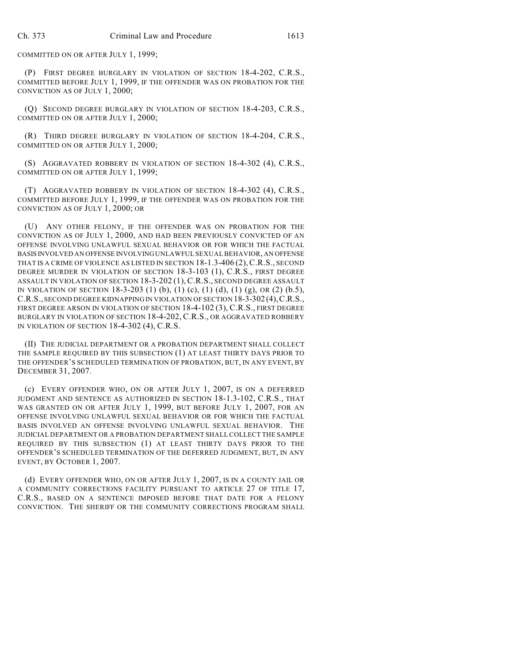COMMITTED ON OR AFTER JULY 1, 1999;

(P) FIRST DEGREE BURGLARY IN VIOLATION OF SECTION 18-4-202, C.R.S., COMMITTED BEFORE JULY 1, 1999, IF THE OFFENDER WAS ON PROBATION FOR THE CONVICTION AS OF JULY 1, 2000;

(Q) SECOND DEGREE BURGLARY IN VIOLATION OF SECTION 18-4-203, C.R.S., COMMITTED ON OR AFTER JULY 1, 2000;

(R) THIRD DEGREE BURGLARY IN VIOLATION OF SECTION 18-4-204, C.R.S., COMMITTED ON OR AFTER JULY 1, 2000;

(S) AGGRAVATED ROBBERY IN VIOLATION OF SECTION 18-4-302 (4), C.R.S., COMMITTED ON OR AFTER JULY 1, 1999;

(T) AGGRAVATED ROBBERY IN VIOLATION OF SECTION 18-4-302 (4), C.R.S., COMMITTED BEFORE JULY 1, 1999, IF THE OFFENDER WAS ON PROBATION FOR THE CONVICTION AS OF JULY 1, 2000; OR

(U) ANY OTHER FELONY, IF THE OFFENDER WAS ON PROBATION FOR THE CONVICTION AS OF JULY 1, 2000, AND HAD BEEN PREVIOUSLY CONVICTED OF AN OFFENSE INVOLVING UNLAWFUL SEXUAL BEHAVIOR OR FOR WHICH THE FACTUAL BASIS INVOLVED AN OFFENSE INVOLVING UNLAWFUL SEXUAL BEHAVIOR, AN OFFENSE THAT IS A CRIME OF VIOLENCE AS LISTED IN SECTION 18-1.3-406 (2),C.R.S., SECOND DEGREE MURDER IN VIOLATION OF SECTION 18-3-103 (1), C.R.S., FIRST DEGREE ASSAULT IN VIOLATION OF SECTION 18-3-202 (1), C.R.S., SECOND DEGREE ASSAULT IN VIOLATION OF SECTION 18-3-203 (1) (b), (1) (c), (1) (d), (1) (g), OR (2) (b.5), C.R.S., SECOND DEGREE KIDNAPPING IN VIOLATION OF SECTION 18-3-302 (4),C.R.S., FIRST DEGREE ARSON IN VIOLATION OF SECTION 18-4-102 (3), C.R.S., FIRST DEGREE BURGLARY IN VIOLATION OF SECTION 18-4-202, C.R.S., OR AGGRAVATED ROBBERY IN VIOLATION OF SECTION 18-4-302 (4), C.R.S.

(II) THE JUDICIAL DEPARTMENT OR A PROBATION DEPARTMENT SHALL COLLECT THE SAMPLE REQUIRED BY THIS SUBSECTION (1) AT LEAST THIRTY DAYS PRIOR TO THE OFFENDER'S SCHEDULED TERMINATION OF PROBATION, BUT, IN ANY EVENT, BY DECEMBER 31, 2007.

(c) EVERY OFFENDER WHO, ON OR AFTER JULY 1, 2007, IS ON A DEFERRED JUDGMENT AND SENTENCE AS AUTHORIZED IN SECTION 18-1.3-102, C.R.S., THAT WAS GRANTED ON OR AFTER JULY 1, 1999, BUT BEFORE JULY 1, 2007, FOR AN OFFENSE INVOLVING UNLAWFUL SEXUAL BEHAVIOR OR FOR WHICH THE FACTUAL BASIS INVOLVED AN OFFENSE INVOLVING UNLAWFUL SEXUAL BEHAVIOR. THE JUDICIAL DEPARTMENT OR A PROBATION DEPARTMENT SHALL COLLECT THE SAMPLE REQUIRED BY THIS SUBSECTION (1) AT LEAST THIRTY DAYS PRIOR TO THE OFFENDER'S SCHEDULED TERMINATION OF THE DEFERRED JUDGMENT, BUT, IN ANY EVENT, BY OCTOBER 1, 2007.

(d) EVERY OFFENDER WHO, ON OR AFTER JULY 1, 2007, IS IN A COUNTY JAIL OR A COMMUNITY CORRECTIONS FACILITY PURSUANT TO ARTICLE 27 OF TITLE 17, C.R.S., BASED ON A SENTENCE IMPOSED BEFORE THAT DATE FOR A FELONY CONVICTION. THE SHERIFF OR THE COMMUNITY CORRECTIONS PROGRAM SHALL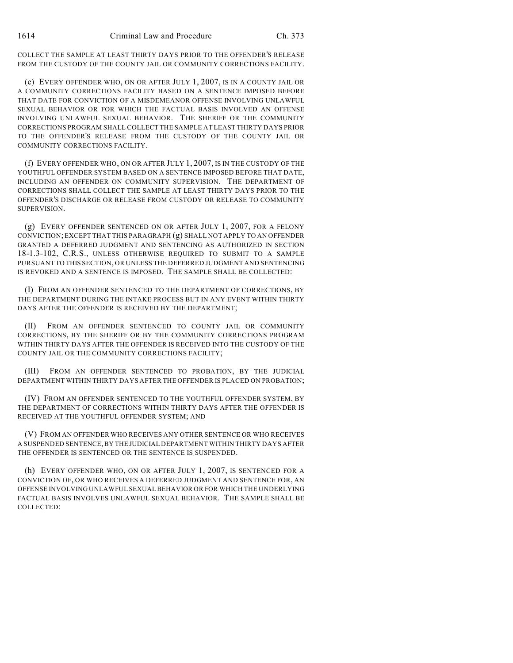COLLECT THE SAMPLE AT LEAST THIRTY DAYS PRIOR TO THE OFFENDER'S RELEASE FROM THE CUSTODY OF THE COUNTY JAIL OR COMMUNITY CORRECTIONS FACILITY.

(e) EVERY OFFENDER WHO, ON OR AFTER JULY 1, 2007, IS IN A COUNTY JAIL OR A COMMUNITY CORRECTIONS FACILITY BASED ON A SENTENCE IMPOSED BEFORE THAT DATE FOR CONVICTION OF A MISDEMEANOR OFFENSE INVOLVING UNLAWFUL SEXUAL BEHAVIOR OR FOR WHICH THE FACTUAL BASIS INVOLVED AN OFFENSE INVOLVING UNLAWFUL SEXUAL BEHAVIOR. THE SHERIFF OR THE COMMUNITY CORRECTIONS PROGRAM SHALL COLLECT THE SAMPLE AT LEAST THIRTY DAYS PRIOR TO THE OFFENDER'S RELEASE FROM THE CUSTODY OF THE COUNTY JAIL OR COMMUNITY CORRECTIONS FACILITY.

(f) EVERY OFFENDER WHO, ON OR AFTER JULY 1, 2007, IS IN THE CUSTODY OF THE YOUTHFUL OFFENDER SYSTEM BASED ON A SENTENCE IMPOSED BEFORE THAT DATE, INCLUDING AN OFFENDER ON COMMUNITY SUPERVISION. THE DEPARTMENT OF CORRECTIONS SHALL COLLECT THE SAMPLE AT LEAST THIRTY DAYS PRIOR TO THE OFFENDER'S DISCHARGE OR RELEASE FROM CUSTODY OR RELEASE TO COMMUNITY SUPERVISION.

(g) EVERY OFFENDER SENTENCED ON OR AFTER JULY 1, 2007, FOR A FELONY CONVICTION; EXCEPT THAT THIS PARAGRAPH (g) SHALL NOT APPLY TO AN OFFENDER GRANTED A DEFERRED JUDGMENT AND SENTENCING AS AUTHORIZED IN SECTION 18-1.3-102, C.R.S., UNLESS OTHERWISE REQUIRED TO SUBMIT TO A SAMPLE PURSUANT TO THIS SECTION, OR UNLESS THE DEFERRED JUDGMENT AND SENTENCING IS REVOKED AND A SENTENCE IS IMPOSED. THE SAMPLE SHALL BE COLLECTED:

(I) FROM AN OFFENDER SENTENCED TO THE DEPARTMENT OF CORRECTIONS, BY THE DEPARTMENT DURING THE INTAKE PROCESS BUT IN ANY EVENT WITHIN THIRTY DAYS AFTER THE OFFENDER IS RECEIVED BY THE DEPARTMENT;

(II) FROM AN OFFENDER SENTENCED TO COUNTY JAIL OR COMMUNITY CORRECTIONS, BY THE SHERIFF OR BY THE COMMUNITY CORRECTIONS PROGRAM WITHIN THIRTY DAYS AFTER THE OFFENDER IS RECEIVED INTO THE CUSTODY OF THE COUNTY JAIL OR THE COMMUNITY CORRECTIONS FACILITY;

(III) FROM AN OFFENDER SENTENCED TO PROBATION, BY THE JUDICIAL DEPARTMENT WITHIN THIRTY DAYS AFTER THE OFFENDER IS PLACED ON PROBATION;

(IV) FROM AN OFFENDER SENTENCED TO THE YOUTHFUL OFFENDER SYSTEM, BY THE DEPARTMENT OF CORRECTIONS WITHIN THIRTY DAYS AFTER THE OFFENDER IS RECEIVED AT THE YOUTHFUL OFFENDER SYSTEM; AND

(V) FROM AN OFFENDER WHO RECEIVES ANY OTHER SENTENCE OR WHO RECEIVES A SUSPENDED SENTENCE, BY THE JUDICIAL DEPARTMENT WITHIN THIRTY DAYS AFTER THE OFFENDER IS SENTENCED OR THE SENTENCE IS SUSPENDED.

(h) EVERY OFFENDER WHO, ON OR AFTER JULY 1, 2007, IS SENTENCED FOR A CONVICTION OF, OR WHO RECEIVES A DEFERRED JUDGMENT AND SENTENCE FOR, AN OFFENSE INVOLVING UNLAWFUL SEXUAL BEHAVIOR OR FOR WHICH THE UNDERLYING FACTUAL BASIS INVOLVES UNLAWFUL SEXUAL BEHAVIOR. THE SAMPLE SHALL BE COLLECTED: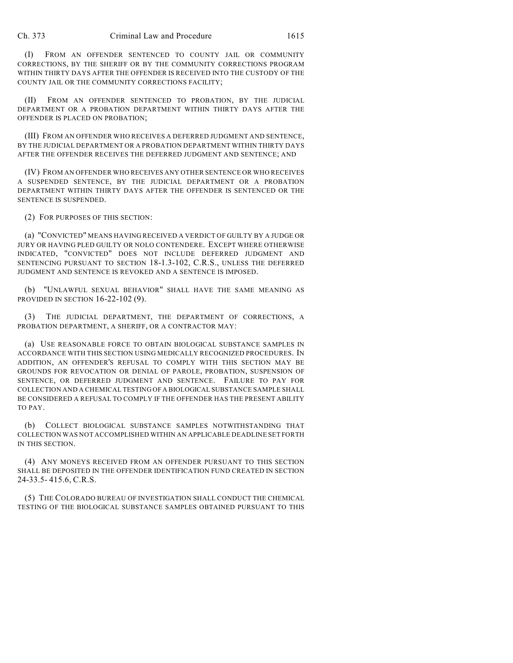(I) FROM AN OFFENDER SENTENCED TO COUNTY JAIL OR COMMUNITY CORRECTIONS, BY THE SHERIFF OR BY THE COMMUNITY CORRECTIONS PROGRAM WITHIN THIRTY DAYS AFTER THE OFFENDER IS RECEIVED INTO THE CUSTODY OF THE COUNTY JAIL OR THE COMMUNITY CORRECTIONS FACILITY;

(II) FROM AN OFFENDER SENTENCED TO PROBATION, BY THE JUDICIAL DEPARTMENT OR A PROBATION DEPARTMENT WITHIN THIRTY DAYS AFTER THE OFFENDER IS PLACED ON PROBATION;

(III) FROM AN OFFENDER WHO RECEIVES A DEFERRED JUDGMENT AND SENTENCE, BY THE JUDICIAL DEPARTMENT OR A PROBATION DEPARTMENT WITHIN THIRTY DAYS AFTER THE OFFENDER RECEIVES THE DEFERRED JUDGMENT AND SENTENCE; AND

(IV) FROM AN OFFENDER WHO RECEIVES ANY OTHER SENTENCE OR WHO RECEIVES A SUSPENDED SENTENCE, BY THE JUDICIAL DEPARTMENT OR A PROBATION DEPARTMENT WITHIN THIRTY DAYS AFTER THE OFFENDER IS SENTENCED OR THE SENTENCE IS SUSPENDED.

(2) FOR PURPOSES OF THIS SECTION:

(a) "CONVICTED" MEANS HAVING RECEIVED A VERDICT OF GUILTY BY A JUDGE OR JURY OR HAVING PLED GUILTY OR NOLO CONTENDERE. EXCEPT WHERE OTHERWISE INDICATED, "CONVICTED" DOES NOT INCLUDE DEFERRED JUDGMENT AND SENTENCING PURSUANT TO SECTION 18-1.3-102, C.R.S., UNLESS THE DEFERRED JUDGMENT AND SENTENCE IS REVOKED AND A SENTENCE IS IMPOSED.

(b) "UNLAWFUL SEXUAL BEHAVIOR" SHALL HAVE THE SAME MEANING AS PROVIDED IN SECTION 16-22-102 (9).

(3) THE JUDICIAL DEPARTMENT, THE DEPARTMENT OF CORRECTIONS, A PROBATION DEPARTMENT, A SHERIFF, OR A CONTRACTOR MAY:

(a) USE REASONABLE FORCE TO OBTAIN BIOLOGICAL SUBSTANCE SAMPLES IN ACCORDANCE WITH THIS SECTION USING MEDICALLY RECOGNIZED PROCEDURES. IN ADDITION, AN OFFENDER'S REFUSAL TO COMPLY WITH THIS SECTION MAY BE GROUNDS FOR REVOCATION OR DENIAL OF PAROLE, PROBATION, SUSPENSION OF SENTENCE, OR DEFERRED JUDGMENT AND SENTENCE. FAILURE TO PAY FOR COLLECTION AND A CHEMICAL TESTING OF A BIOLOGICAL SUBSTANCE SAMPLE SHALL BE CONSIDERED A REFUSAL TO COMPLY IF THE OFFENDER HAS THE PRESENT ABILITY TO PAY.

(b) COLLECT BIOLOGICAL SUBSTANCE SAMPLES NOTWITHSTANDING THAT COLLECTION WAS NOT ACCOMPLISHED WITHIN AN APPLICABLE DEADLINE SET FORTH IN THIS SECTION.

(4) ANY MONEYS RECEIVED FROM AN OFFENDER PURSUANT TO THIS SECTION SHALL BE DEPOSITED IN THE OFFENDER IDENTIFICATION FUND CREATED IN SECTION 24-33.5- 415.6, C.R.S.

(5) THE COLORADO BUREAU OF INVESTIGATION SHALL CONDUCT THE CHEMICAL TESTING OF THE BIOLOGICAL SUBSTANCE SAMPLES OBTAINED PURSUANT TO THIS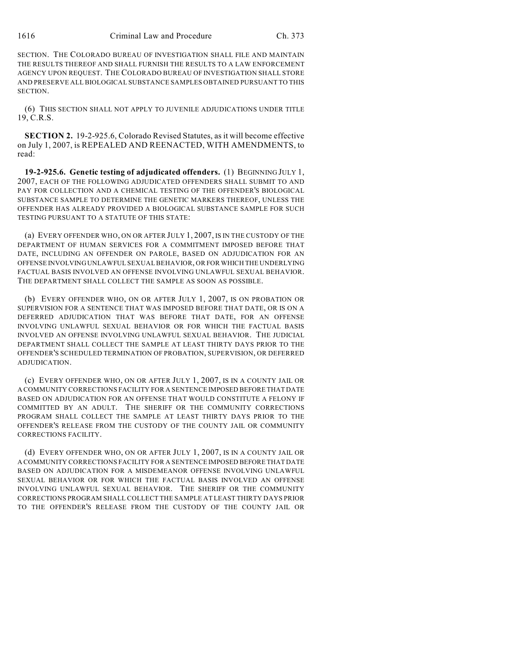SECTION. THE COLORADO BUREAU OF INVESTIGATION SHALL FILE AND MAINTAIN THE RESULTS THEREOF AND SHALL FURNISH THE RESULTS TO A LAW ENFORCEMENT AGENCY UPON REQUEST. THE COLORADO BUREAU OF INVESTIGATION SHALL STORE AND PRESERVE ALL BIOLOGICAL SUBSTANCE SAMPLES OBTAINED PURSUANT TO THIS SECTION.

(6) THIS SECTION SHALL NOT APPLY TO JUVENILE ADJUDICATIONS UNDER TITLE 19, C.R.S.

**SECTION 2.** 19-2-925.6, Colorado Revised Statutes, as it will become effective on July 1, 2007, is REPEALED AND REENACTED, WITH AMENDMENTS, to read:

**19-2-925.6. Genetic testing of adjudicated offenders.** (1) BEGINNING JULY 1, 2007, EACH OF THE FOLLOWING ADJUDICATED OFFENDERS SHALL SUBMIT TO AND PAY FOR COLLECTION AND A CHEMICAL TESTING OF THE OFFENDER'S BIOLOGICAL SUBSTANCE SAMPLE TO DETERMINE THE GENETIC MARKERS THEREOF, UNLESS THE OFFENDER HAS ALREADY PROVIDED A BIOLOGICAL SUBSTANCE SAMPLE FOR SUCH TESTING PURSUANT TO A STATUTE OF THIS STATE:

(a) EVERY OFFENDER WHO, ON OR AFTER JULY 1, 2007, IS IN THE CUSTODY OF THE DEPARTMENT OF HUMAN SERVICES FOR A COMMITMENT IMPOSED BEFORE THAT DATE, INCLUDING AN OFFENDER ON PAROLE, BASED ON ADJUDICATION FOR AN OFFENSE INVOLVING UNLAWFUL SEXUAL BEHAVIOR, OR FOR WHICH THE UNDERLYING FACTUAL BASIS INVOLVED AN OFFENSE INVOLVING UNLAWFUL SEXUAL BEHAVIOR. THE DEPARTMENT SHALL COLLECT THE SAMPLE AS SOON AS POSSIBLE.

(b) EVERY OFFENDER WHO, ON OR AFTER JULY 1, 2007, IS ON PROBATION OR SUPERVISION FOR A SENTENCE THAT WAS IMPOSED BEFORE THAT DATE, OR IS ON A DEFERRED ADJUDICATION THAT WAS BEFORE THAT DATE, FOR AN OFFENSE INVOLVING UNLAWFUL SEXUAL BEHAVIOR OR FOR WHICH THE FACTUAL BASIS INVOLVED AN OFFENSE INVOLVING UNLAWFUL SEXUAL BEHAVIOR. THE JUDICIAL DEPARTMENT SHALL COLLECT THE SAMPLE AT LEAST THIRTY DAYS PRIOR TO THE OFFENDER'S SCHEDULED TERMINATION OF PROBATION, SUPERVISION, OR DEFERRED ADJUDICATION.

(c) EVERY OFFENDER WHO, ON OR AFTER JULY 1, 2007, IS IN A COUNTY JAIL OR A COMMUNITY CORRECTIONS FACILITY FOR A SENTENCE IMPOSED BEFORE THAT DATE BASED ON ADJUDICATION FOR AN OFFENSE THAT WOULD CONSTITUTE A FELONY IF COMMITTED BY AN ADULT. THE SHERIFF OR THE COMMUNITY CORRECTIONS PROGRAM SHALL COLLECT THE SAMPLE AT LEAST THIRTY DAYS PRIOR TO THE OFFENDER'S RELEASE FROM THE CUSTODY OF THE COUNTY JAIL OR COMMUNITY CORRECTIONS FACILITY.

(d) EVERY OFFENDER WHO, ON OR AFTER JULY 1, 2007, IS IN A COUNTY JAIL OR A COMMUNITY CORRECTIONS FACILITY FOR A SENTENCE IMPOSED BEFORE THAT DATE BASED ON ADJUDICATION FOR A MISDEMEANOR OFFENSE INVOLVING UNLAWFUL SEXUAL BEHAVIOR OR FOR WHICH THE FACTUAL BASIS INVOLVED AN OFFENSE INVOLVING UNLAWFUL SEXUAL BEHAVIOR. THE SHERIFF OR THE COMMUNITY CORRECTIONS PROGRAM SHALL COLLECT THE SAMPLE AT LEAST THIRTY DAYS PRIOR TO THE OFFENDER'S RELEASE FROM THE CUSTODY OF THE COUNTY JAIL OR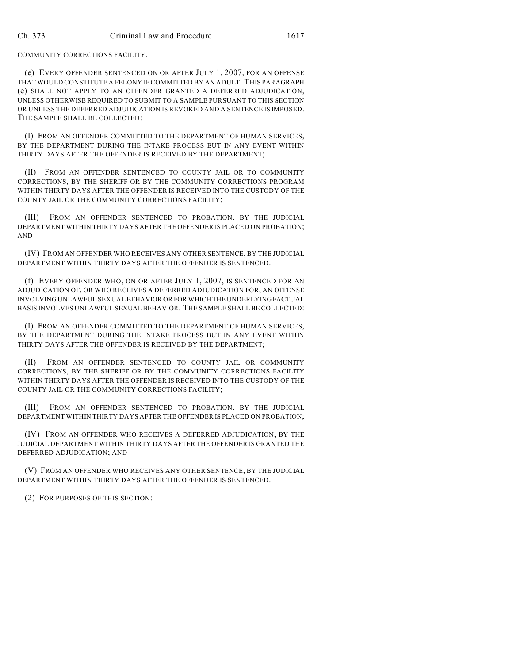COMMUNITY CORRECTIONS FACILITY.

(e) EVERY OFFENDER SENTENCED ON OR AFTER JULY 1, 2007, FOR AN OFFENSE THAT WOULD CONSTITUTE A FELONY IFCOMMITTED BY AN ADULT. THIS PARAGRAPH (e) SHALL NOT APPLY TO AN OFFENDER GRANTED A DEFERRED ADJUDICATION, UNLESS OTHERWISE REQUIRED TO SUBMIT TO A SAMPLE PURSUANT TO THIS SECTION OR UNLESS THE DEFERRED ADJUDICATION IS REVOKED AND A SENTENCE IS IMPOSED. THE SAMPLE SHALL BE COLLECTED:

(I) FROM AN OFFENDER COMMITTED TO THE DEPARTMENT OF HUMAN SERVICES, BY THE DEPARTMENT DURING THE INTAKE PROCESS BUT IN ANY EVENT WITHIN THIRTY DAYS AFTER THE OFFENDER IS RECEIVED BY THE DEPARTMENT;

(II) FROM AN OFFENDER SENTENCED TO COUNTY JAIL OR TO COMMUNITY CORRECTIONS, BY THE SHERIFF OR BY THE COMMUNITY CORRECTIONS PROGRAM WITHIN THIRTY DAYS AFTER THE OFFENDER IS RECEIVED INTO THE CUSTODY OF THE COUNTY JAIL OR THE COMMUNITY CORRECTIONS FACILITY;

(III) FROM AN OFFENDER SENTENCED TO PROBATION, BY THE JUDICIAL DEPARTMENT WITHIN THIRTY DAYS AFTER THE OFFENDER IS PLACED ON PROBATION; AND

(IV) FROM AN OFFENDER WHO RECEIVES ANY OTHER SENTENCE, BY THE JUDICIAL DEPARTMENT WITHIN THIRTY DAYS AFTER THE OFFENDER IS SENTENCED.

(f) EVERY OFFENDER WHO, ON OR AFTER JULY 1, 2007, IS SENTENCED FOR AN ADJUDICATION OF, OR WHO RECEIVES A DEFERRED ADJUDICATION FOR, AN OFFENSE INVOLVING UNLAWFUL SEXUAL BEHAVIOR OR FOR WHICH THE UNDERLYING FACTUAL BASIS INVOLVES UNLAWFUL SEXUAL BEHAVIOR. THE SAMPLE SHALL BE COLLECTED:

(I) FROM AN OFFENDER COMMITTED TO THE DEPARTMENT OF HUMAN SERVICES, BY THE DEPARTMENT DURING THE INTAKE PROCESS BUT IN ANY EVENT WITHIN THIRTY DAYS AFTER THE OFFENDER IS RECEIVED BY THE DEPARTMENT;

(II) FROM AN OFFENDER SENTENCED TO COUNTY JAIL OR COMMUNITY CORRECTIONS, BY THE SHERIFF OR BY THE COMMUNITY CORRECTIONS FACILITY WITHIN THIRTY DAYS AFTER THE OFFENDER IS RECEIVED INTO THE CUSTODY OF THE COUNTY JAIL OR THE COMMUNITY CORRECTIONS FACILITY;

(III) FROM AN OFFENDER SENTENCED TO PROBATION, BY THE JUDICIAL DEPARTMENT WITHIN THIRTY DAYS AFTER THE OFFENDER IS PLACED ON PROBATION;

(IV) FROM AN OFFENDER WHO RECEIVES A DEFERRED ADJUDICATION, BY THE JUDICIAL DEPARTMENT WITHIN THIRTY DAYS AFTER THE OFFENDER IS GRANTED THE DEFERRED ADJUDICATION; AND

(V) FROM AN OFFENDER WHO RECEIVES ANY OTHER SENTENCE, BY THE JUDICIAL DEPARTMENT WITHIN THIRTY DAYS AFTER THE OFFENDER IS SENTENCED.

(2) FOR PURPOSES OF THIS SECTION: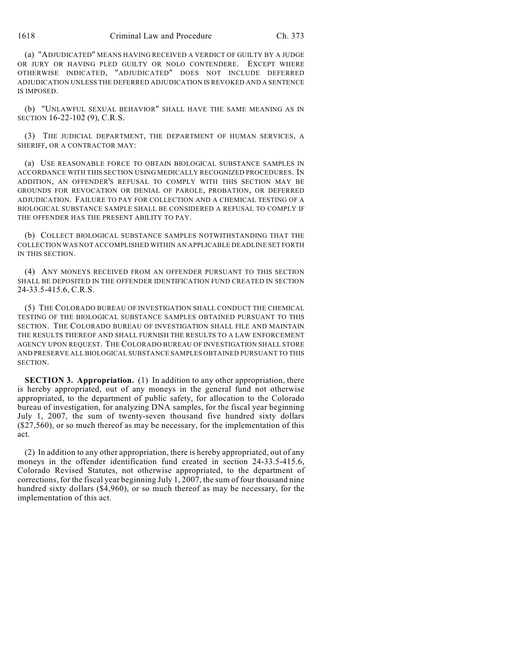(a) "ADJUDICATED" MEANS HAVING RECEIVED A VERDICT OF GUILTY BY A JUDGE OR JURY OR HAVING PLED GUILTY OR NOLO CONTENDERE. EXCEPT WHERE OTHERWISE INDICATED, "ADJUDICATED" DOES NOT INCLUDE DEFERRED ADJUDICATION UNLESS THE DEFERRED ADJUDICATION IS REVOKED AND A SENTENCE IS IMPOSED.

(b) "UNLAWFUL SEXUAL BEHAVIOR" SHALL HAVE THE SAME MEANING AS IN SECTION 16-22-102 (9), C.R.S.

(3) THE JUDICIAL DEPARTMENT, THE DEPARTMENT OF HUMAN SERVICES, A SHERIFF, OR A CONTRACTOR MAY:

(a) USE REASONABLE FORCE TO OBTAIN BIOLOGICAL SUBSTANCE SAMPLES IN ACCORDANCE WITH THIS SECTION USING MEDICALLY RECOGNIZED PROCEDURES. IN ADDITION, AN OFFENDER'S REFUSAL TO COMPLY WITH THIS SECTION MAY BE GROUNDS FOR REVOCATION OR DENIAL OF PAROLE, PROBATION, OR DEFERRED ADJUDICATION. FAILURE TO PAY FOR COLLECTION AND A CHEMICAL TESTING OF A BIOLOGICAL SUBSTANCE SAMPLE SHALL BE CONSIDERED A REFUSAL TO COMPLY IF THE OFFENDER HAS THE PRESENT ABILITY TO PAY.

(b) COLLECT BIOLOGICAL SUBSTANCE SAMPLES NOTWITHSTANDING THAT THE COLLECTION WAS NOT ACCOMPLISHED WITHIN AN APPLICABLE DEADLINE SET FORTH IN THIS SECTION.

(4) ANY MONEYS RECEIVED FROM AN OFFENDER PURSUANT TO THIS SECTION SHALL BE DEPOSITED IN THE OFFENDER IDENTIFICATION FUND CREATED IN SECTION 24-33.5-415.6, C.R.S.

(5) THE COLORADO BUREAU OF INVESTIGATION SHALL CONDUCT THE CHEMICAL TESTING OF THE BIOLOGICAL SUBSTANCE SAMPLES OBTAINED PURSUANT TO THIS SECTION. THE COLORADO BUREAU OF INVESTIGATION SHALL FILE AND MAINTAIN THE RESULTS THEREOF AND SHALL FURNISH THE RESULTS TO A LAW ENFORCEMENT AGENCY UPON REQUEST. THE COLORADO BUREAU OF INVESTIGATION SHALL STORE AND PRESERVE ALL BIOLOGICAL SUBSTANCE SAMPLES OBTAINED PURSUANT TO THIS SECTION.

**SECTION 3. Appropriation.** (1) In addition to any other appropriation, there is hereby appropriated, out of any moneys in the general fund not otherwise appropriated, to the department of public safety, for allocation to the Colorado bureau of investigation, for analyzing DNA samples, for the fiscal year beginning July 1, 2007, the sum of twenty-seven thousand five hundred sixty dollars (\$27,560), or so much thereof as may be necessary, for the implementation of this act.

(2) In addition to any other appropriation, there is hereby appropriated, out of any moneys in the offender identification fund created in section 24-33.5-415.6, Colorado Revised Statutes, not otherwise appropriated, to the department of corrections, for the fiscal year beginning July 1, 2007, the sum of four thousand nine hundred sixty dollars (\$4,960), or so much thereof as may be necessary, for the implementation of this act.